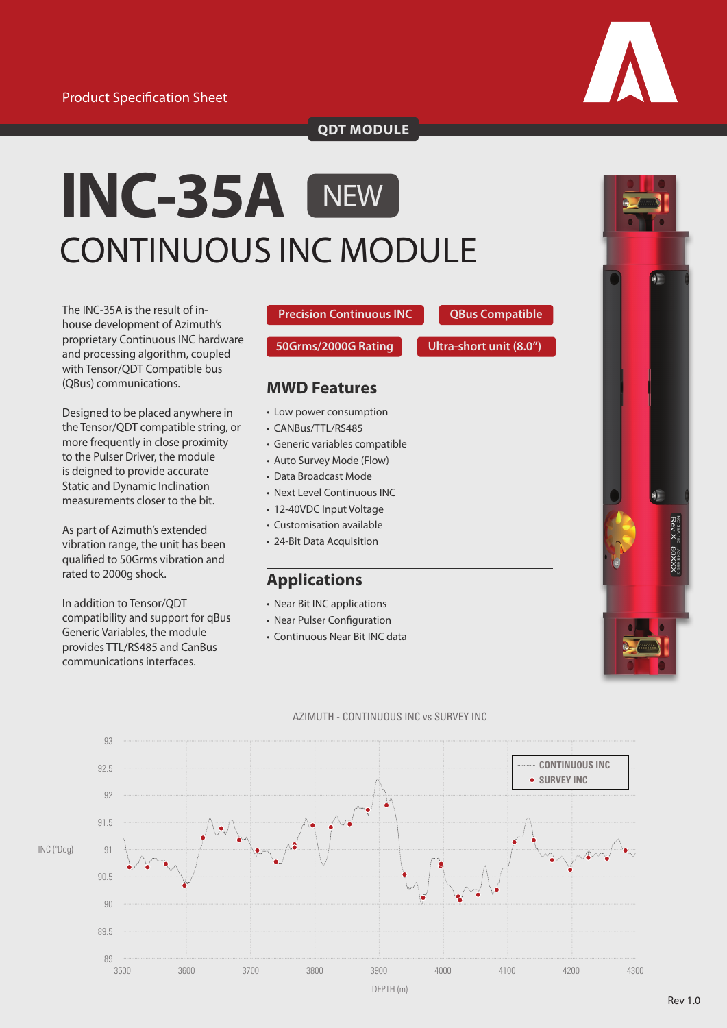

**QDT MODULE**

# **INC-35A** CONTINUOUS INC MODULE **NEW**

The INC-35A is the result of inhouse development of Azimuth's proprietary Continuous INC hardware and processing algorithm, coupled with Tensor/QDT Compatible bus (QBus) communications.

Designed to be placed anywhere in the Tensor/QDT compatible string, or more frequently in close proximity to the Pulser Driver, the module is deigned to provide accurate Static and Dynamic Inclination measurements closer to the bit.

As part of Azimuth's extended vibration range, the unit has been qualified to 50Grms vibration and rated to 2000g shock.

In addition to Tensor/QDT compatibility and support for qBus Generic Variables, the module provides TTL/RS485 and CanBus communications interfaces.

**Precision Continuous INC**

**50Grms/2000G Rating**

**Ultra-short unit (8.0") QBus Compatible**

### **MWD Features**

- Low power consumption
- CANBus/TTL/RS485
- Generic variables compatible
- Auto Survey Mode (Flow)
- Data Broadcast Mode
- Next Level Continuous INC
- 12-40VDC Input Voltage
- Customisation available
- 24-Bit Data Acquisition

## **Applications**

- Near Bit INC applications
- Near Pulser Configuration
- Continuous Near Bit INC data



#### AZIMUTH - CONTINUOUS INC vs SURVEY INC